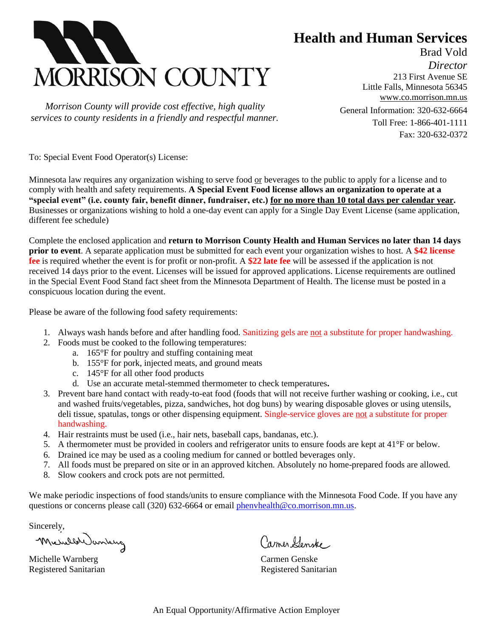

 *Morrison County will provide cost effective, high quality services to county residents in a friendly and respectful manner.* **Health and Human Services**

Brad Vold *Director* 213 First Avenue SE Little Falls, Minnesota 56345 [www.co.morrison.mn.us](http://www.co.morrison.mn.us/) General Information: 320-632-6664 Toll Free: 1-866-401-1111 Fax: 320-632-0372

To: Special Event Food Operator(s) License:

Minnesota law requires any organization wishing to serve food or beverages to the public to apply for a license and to comply with health and safety requirements. **A Special Event Food license allows an organization to operate at a "special event" (i.e. county fair, benefit dinner, fundraiser, etc.) for no more than 10 total days per calendar year.**  Businesses or organizations wishing to hold a one-day event can apply for a Single Day Event License (same application, different fee schedule)

Complete the enclosed application and **return to Morrison County Health and Human Services no later than 14 days prior to event**. A separate application must be submitted for each event your organization wishes to host*.* A **\$42 license fee** is required whether the event is for profit or non-profit. A **\$22 late fee** will be assessed if the application is not received 14 days prior to the event. Licenses will be issued for approved applications. License requirements are outlined in the Special Event Food Stand fact sheet from the Minnesota Department of Health. The license must be posted in a conspicuous location during the event.

Please be aware of the following food safety requirements:

- 1. Always wash hands before and after handling food. Sanitizing gels are not a substitute for proper handwashing.
- 2. Foods must be cooked to the following temperatures:
	- a. 165°F for poultry and stuffing containing meat
	- b. 155°F for pork, injected meats, and ground meats
	- c. 145°F for all other food products
	- d. Use an accurate metal-stemmed thermometer to check temperatures**.**
- 3. Prevent bare hand contact with ready-to-eat food (foods that will not receive further washing or cooking, i.e., cut and washed fruits/vegetables, pizza, sandwiches, hot dog buns) by wearing disposable gloves or using utensils, deli tissue, spatulas, tongs or other dispensing equipment. Single-service gloves are not a substitute for proper handwashing.
- 4. Hair restraints must be used (i.e., hair nets, baseball caps, bandanas, etc.).
- 5. A thermometer must be provided in coolers and refrigerator units to ensure foods are kept at 41°F or below.
- 6. Drained ice may be used as a cooling medium for canned or bottled beverages only.
- 7. All foods must be prepared on site or in an approved kitchen. Absolutely no home-prepared foods are allowed.
- 8. Slow cookers and crock pots are not permitted.

We make periodic inspections of food stands/units to ensure compliance with the Minnesota Food Code. If you have any questions or concerns please call (320) 632-6664 or email [phenvhealth@co.morrison.mn.us.](mailto:phenvhealth@co.morrison.mn.us)

Sincerely,

Micheller Janking

Michelle Warnberg Carmen Genske

Carmer Denske

Registered Sanitarian and Registered Sanitarian Registered Sanitarian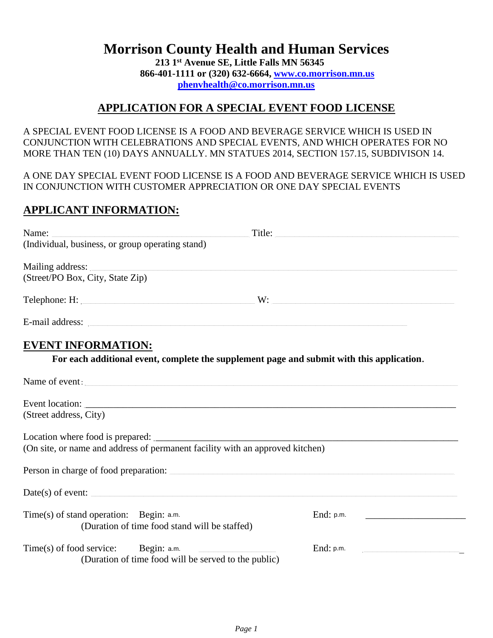# **Morrison County Health and Human Services**

**213 1st Avenue SE, Little Falls MN 56345 866-401-1111 or (320) 632-6664, [www.co.morrison.mn.us](http://www.co.morrison.mn.us/) [phenvhealth@co.morrison.mn.us](mailto:phenvhealth@co.morrison.mn.us)**

### **APPLICATION FOR A SPECIAL EVENT FOOD LICENSE**

A SPECIAL EVENT FOOD LICENSE IS A FOOD AND BEVERAGE SERVICE WHICH IS USED IN CONJUNCTION WITH CELEBRATIONS AND SPECIAL EVENTS, AND WHICH OPERATES FOR NO MORE THAN TEN (10) DAYS ANNUALLY. MN STATUES 2014, SECTION 157.15, SUBDIVISON 14.

A ONE DAY SPECIAL EVENT FOOD LICENSE IS A FOOD AND BEVERAGE SERVICE WHICH IS USED IN CONJUNCTION WITH CUSTOMER APPRECIATION OR ONE DAY SPECIAL EVENTS

## **APPLICANT INFORMATION:**

| Name:<br>Title:                                                                                                                                                                                                                      |           |
|--------------------------------------------------------------------------------------------------------------------------------------------------------------------------------------------------------------------------------------|-----------|
| (Individual, business, or group operating stand)                                                                                                                                                                                     |           |
| Mailing address:                                                                                                                                                                                                                     |           |
| (Street/PO Box, City, State Zip)                                                                                                                                                                                                     |           |
| Telephone: H: $\qquad \qquad W:$                                                                                                                                                                                                     |           |
| E-mail address: <u>contract the contract of the contract of the contract of the contract of the contract of the contract of the contract of the contract of the contract of the contract of the contract of the contract of the </u> |           |
| <b>EVENT INFORMATION:</b>                                                                                                                                                                                                            |           |
| For each additional event, complete the supplement page and submit with this application.                                                                                                                                            |           |
| Name of event:                                                                                                                                                                                                                       |           |
| Event location:                                                                                                                                                                                                                      |           |
| (Street address, City)                                                                                                                                                                                                               |           |
| Location where food is prepared:                                                                                                                                                                                                     |           |
| (On site, or name and address of permanent facility with an approved kitchen)                                                                                                                                                        |           |
| Person in charge of food preparation:                                                                                                                                                                                                |           |
| $Date(s)$ of event:                                                                                                                                                                                                                  |           |
| Time(s) of stand operation: Begin: a.m.<br>(Duration of time food stand will be staffed)                                                                                                                                             | End: p.m. |
| $Time(s)$ of food service: Begin: a.m.<br>the control of the control of the control of<br>(Duration of time food will be served to the public)                                                                                       | End: p.m. |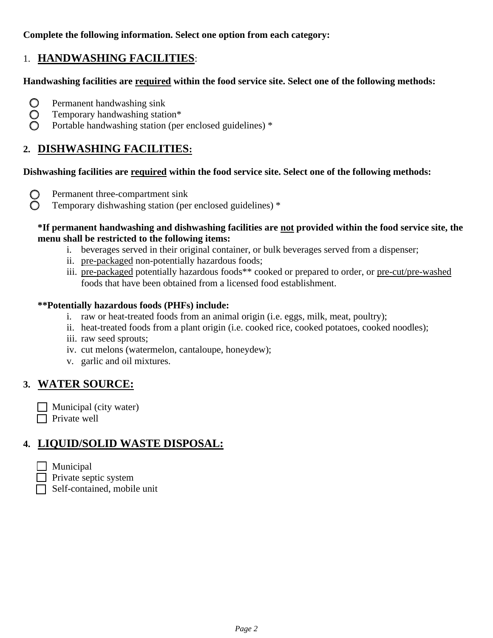#### **Complete the following information. Select one option from each category:**

## 1. **HANDWASHING FACILITIES**:

#### **Handwashing facilities are required within the food service site. Select one of the following methods:**

- $\bigcirc$  Permanent handwashing sink
- $\bigcirc$  Temporary handwashing station\*
- Portable handwashing station (per enclosed guidelines) \*

## **2. DISHWASHING FACILITIES:**

#### **Dishwashing facilities are required within the food service site. Select one of the following methods:**

- $\bigcirc$  Permanent three-compartment sink
- Temporary dishwashing station (per enclosed guidelines) \*

#### **\*If permanent handwashing and dishwashing facilities are not provided within the food service site, the menu shall be restricted to the following items:**

- i. beverages served in their original container, or bulk beverages served from a dispenser;
- ii. pre-packaged non-potentially hazardous foods;
- iii. pre-packaged potentially hazardous foods\*\* cooked or prepared to order, or pre-cut/pre-washed foods that have been obtained from a licensed food establishment.

#### **\*\*Potentially hazardous foods (PHFs) include:**

- i. raw or heat-treated foods from an animal origin (i.e. eggs, milk, meat, poultry);
- ii. heat-treated foods from a plant origin (i.e. cooked rice, cooked potatoes, cooked noodles);
- iii. raw seed sprouts;
- iv. cut melons (watermelon, cantaloupe, honeydew);
- v. garlic and oil mixtures.

## **3. WATER SOURCE:**

 $\Box$  Municipal (city water)  $\Box$  Private well

## **4. LIQUID/SOLID WASTE DISPOSAL:**

- $\Box$  Municipal
- $\Box$  Private septic system
- Self-contained, mobile unit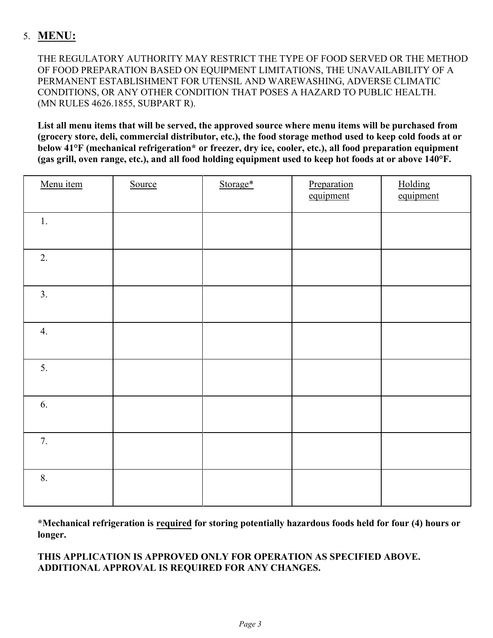## 5. **MENU:**

THE REGULATORY AUTHORITY MAY RESTRICT THE TYPE OF FOOD SERVED OR THE METHOD OF FOOD PREPARATION BASED ON EQUIPMENT LIMITATIONS, THE UNAVAILABILITY OF A PERMANENT ESTABLISHMENT FOR UTENSIL AND WAREWASHING, ADVERSE CLIMATIC CONDITIONS, OR ANY OTHER CONDITION THAT POSES A HAZARD TO PUBLIC HEALTH. (MN RULES 4626.1855, SUBPART R).

**List all menu items that will be served, the approved source where menu items will be purchased from (grocery store, deli, commercial distributor, etc.), the food storage method used to keep cold foods at or below 41°F (mechanical refrigeration\* or freezer, dry ice, cooler, etc.), all food preparation equipment (gas grill, oven range, etc.), and all food holding equipment used to keep hot foods at or above 140°F.**

| Menu item | Source | Storage* | Preparation<br>equipment | Holding<br>equipment |
|-----------|--------|----------|--------------------------|----------------------|
| 1.        |        |          |                          |                      |
| 2.        |        |          |                          |                      |
| 3.        |        |          |                          |                      |
| 4.        |        |          |                          |                      |
| 5.        |        |          |                          |                      |
| 6.        |        |          |                          |                      |
| 7.        |        |          |                          |                      |
| 8.        |        |          |                          |                      |

**\*Mechanical refrigeration is required for storing potentially hazardous foods held for four (4) hours or longer.**

#### **THIS APPLICATION IS APPROVED ONLY FOR OPERATION AS SPECIFIED ABOVE. ADDITIONAL APPROVAL IS REQUIRED FOR ANY CHANGES.**